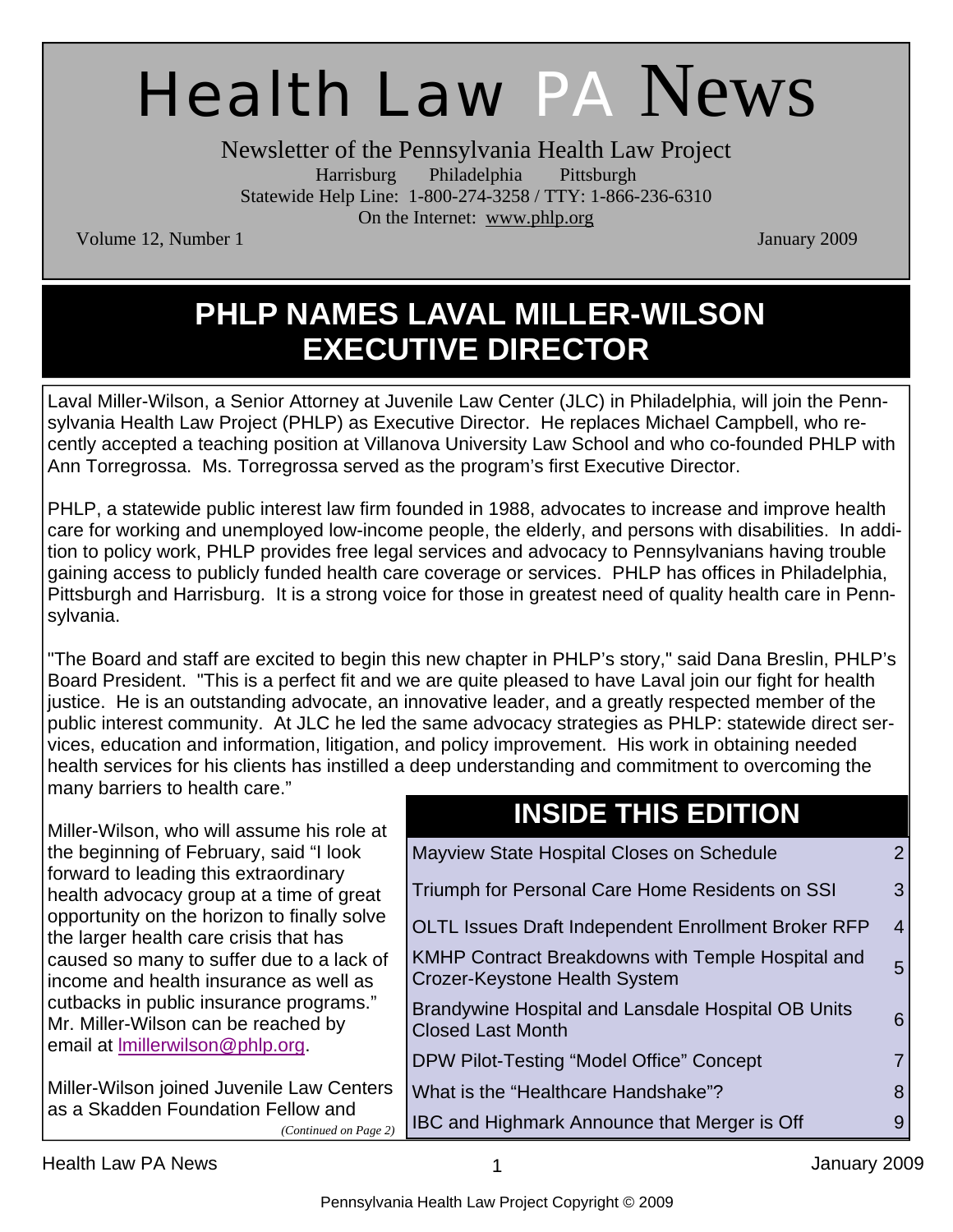# Health Law PA News

Newsletter of the Pennsylvania Health Law Project Harrisburg Philadelphia Pittsburgh Statewide Help Line: 1-800-274-3258 / TTY: 1-866-236-6310 On the Internet: www.phlp.org

Volume 12, Number 1 January 2009

#### **PHLP NAMES LAVAL MILLER-WILSON EXECUTIVE DIRECTOR**

Laval Miller-Wilson, a Senior Attorney at Juvenile Law Center (JLC) in Philadelphia, will join the Pennsylvania Health Law Project (PHLP) as Executive Director. He replaces Michael Campbell, who recently accepted a teaching position at Villanova University Law School and who co-founded PHLP with Ann Torregrossa. Ms. Torregrossa served as the program's first Executive Director.

PHLP, a statewide public interest law firm founded in 1988, advocates to increase and improve health care for working and unemployed low-income people, the elderly, and persons with disabilities. In addition to policy work, PHLP provides free legal services and advocacy to Pennsylvanians having trouble gaining access to publicly funded health care coverage or services. PHLP has offices in Philadelphia, Pittsburgh and Harrisburg. It is a strong voice for those in greatest need of quality health care in Pennsylvania.

"The Board and staff are excited to begin this new chapter in PHLP's story," said Dana Breslin, PHLP's Board President. "This is a perfect fit and we are quite pleased to have Laval join our fight for health justice. He is an outstanding advocate, an innovative leader, and a greatly respected member of the public interest community. At JLC he led the same advocacy strategies as PHLP: statewide direct services, education and information, litigation, and policy improvement. His work in obtaining needed health services for his clients has instilled a deep understanding and commitment to overcoming the many barriers to health care."

| Miller-Wilson, who will assume his role at                                            | <b>INSIDE THIS EDITION</b>                                                                |                |
|---------------------------------------------------------------------------------------|-------------------------------------------------------------------------------------------|----------------|
| the beginning of February, said "I look                                               | Mayview State Hospital Closes on Schedule                                                 | $2^{\circ}$    |
| forward to leading this extraordinary<br>health advocacy group at a time of great     | Triumph for Personal Care Home Residents on SSI                                           | $\mathbf{3}$   |
| opportunity on the horizon to finally solve<br>the larger health care crisis that has | OLTL Issues Draft Independent Enrollment Broker RFP                                       | $\overline{4}$ |
| caused so many to suffer due to a lack of<br>income and health insurance as well as   | <b>KMHP Contract Breakdowns with Temple Hospital and</b><br>Crozer-Keystone Health System | 5 <sup>5</sup> |
| cutbacks in public insurance programs."<br>Mr. Miller-Wilson can be reached by        | Brandywine Hospital and Lansdale Hospital OB Units<br><b>Closed Last Month</b>            | 6              |
| email at <b>Imillerwilson@phlp.org</b>                                                | DPW Pilot-Testing "Model Office" Concept                                                  | $\overline{7}$ |
| Miller-Wilson joined Juvenile Law Centers                                             | What is the "Healthcare Handshake"?                                                       | 8              |
| as a Skadden Foundation Fellow and<br>(Continued on Page 2)                           | <b>IBC and Highmark Announce that Merger is Off</b>                                       | 9 <sup>°</sup> |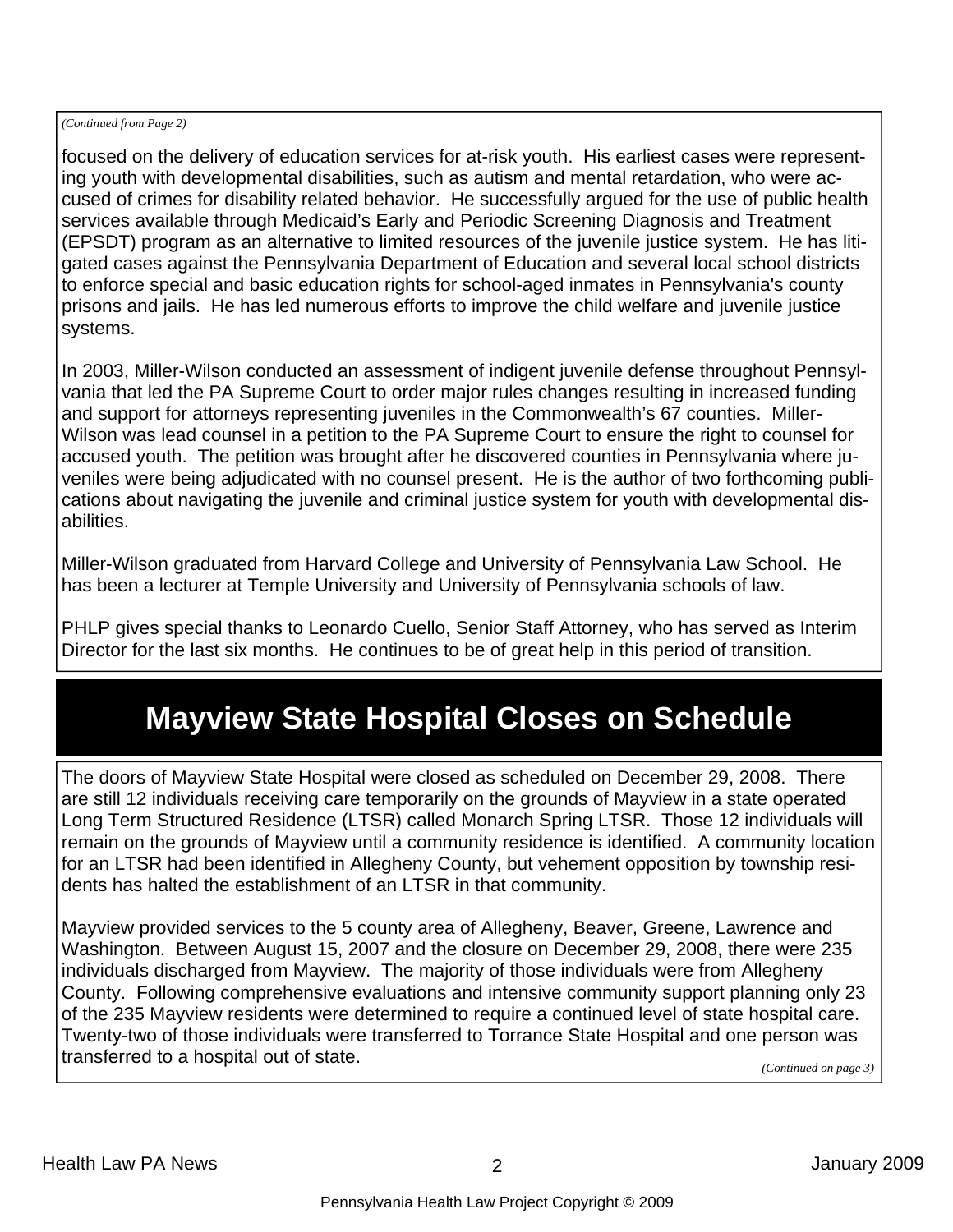#### *(Continued from Page 2)*

focused on the delivery of education services for at-risk youth. His earliest cases were representing youth with developmental disabilities, such as autism and mental retardation, who were accused of crimes for disability related behavior. He successfully argued for the use of public health services available through Medicaid's Early and Periodic Screening Diagnosis and Treatment (EPSDT) program as an alternative to limited resources of the juvenile justice system. He has litigated cases against the Pennsylvania Department of Education and several local school districts to enforce special and basic education rights for school-aged inmates in Pennsylvania's county prisons and jails. He has led numerous efforts to improve the child welfare and juvenile justice systems.

In 2003, Miller-Wilson conducted an assessment of indigent juvenile defense throughout Pennsylvania that led the PA Supreme Court to order major rules changes resulting in increased funding and support for attorneys representing juveniles in the Commonwealth's 67 counties. Miller-Wilson was lead counsel in a petition to the PA Supreme Court to ensure the right to counsel for accused youth. The petition was brought after he discovered counties in Pennsylvania where juveniles were being adjudicated with no counsel present. He is the author of two forthcoming publications about navigating the juvenile and criminal justice system for youth with developmental disabilities.

Miller-Wilson graduated from Harvard College and University of Pennsylvania Law School. He has been a lecturer at Temple University and University of Pennsylvania schools of law.

PHLP gives special thanks to Leonardo Cuello, Senior Staff Attorney, who has served as Interim Director for the last six months. He continues to be of great help in this period of transition.

#### **Mayview State Hospital Closes on Schedule**

The doors of Mayview State Hospital were closed as scheduled on December 29, 2008. There are still 12 individuals receiving care temporarily on the grounds of Mayview in a state operated Long Term Structured Residence (LTSR) called Monarch Spring LTSR. Those 12 individuals will remain on the grounds of Mayview until a community residence is identified. A community location for an LTSR had been identified in Allegheny County, but vehement opposition by township residents has halted the establishment of an LTSR in that community.

Mayview provided services to the 5 county area of Allegheny, Beaver, Greene, Lawrence and Washington. Between August 15, 2007 and the closure on December 29, 2008, there were 235 individuals discharged from Mayview. The majority of those individuals were from Allegheny County. Following comprehensive evaluations and intensive community support planning only 23 of the 235 Mayview residents were determined to require a continued level of state hospital care. Twenty-two of those individuals were transferred to Torrance State Hospital and one person was transferred to a hospital out of state. *(Continued on page 3)*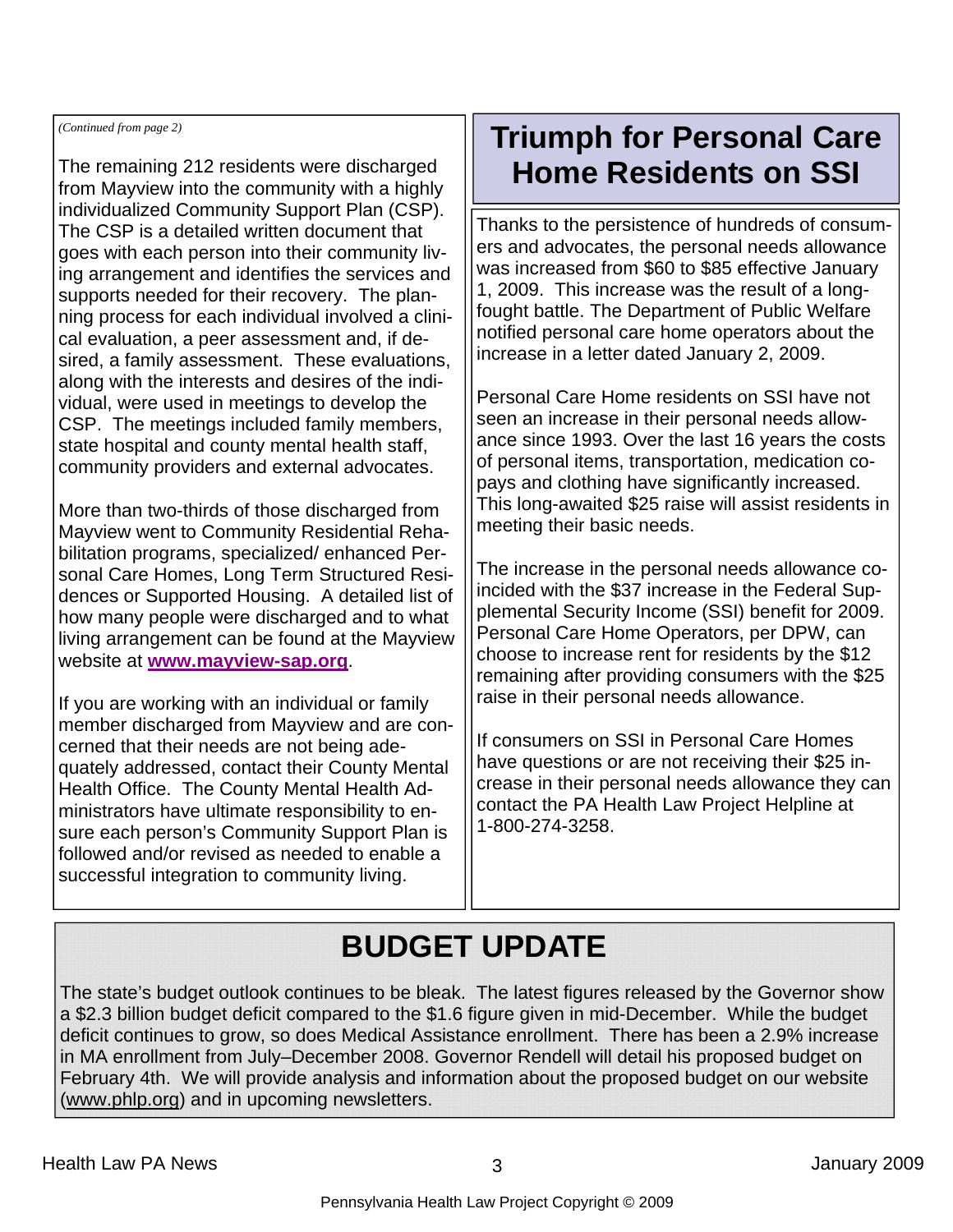*(Continued from page 2)* 

The remaining 212 residents were discharged from Mayview into the community with a highly individualized Community Support Plan (CSP). The CSP is a detailed written document that goes with each person into their community living arrangement and identifies the services and supports needed for their recovery. The planning process for each individual involved a clinical evaluation, a peer assessment and, if desired, a family assessment. These evaluations, along with the interests and desires of the individual, were used in meetings to develop the CSP. The meetings included family members, state hospital and county mental health staff, community providers and external advocates.

More than two-thirds of those discharged from Mayview went to Community Residential Rehabilitation programs, specialized/ enhanced Personal Care Homes, Long Term Structured Residences or Supported Housing. A detailed list of how many people were discharged and to what living arrangement can be found at the Mayview website at **www.mayview-sap.org**.

If you are working with an individual or family member discharged from Mayview and are concerned that their needs are not being adequately addressed, contact their County Mental Health Office. The County Mental Health Administrators have ultimate responsibility to ensure each person's Community Support Plan is followed and/or revised as needed to enable a successful integration to community living.

#### **Triumph for Personal Care Home Residents on SSI**

Thanks to the persistence of hundreds of consumers and advocates, the personal needs allowance was increased from \$60 to \$85 effective January 1, 2009. This increase was the result of a longfought battle. The Department of Public Welfare notified personal care home operators about the increase in a letter dated January 2, 2009.

Personal Care Home residents on SSI have not seen an increase in their personal needs allowance since 1993. Over the last 16 years the costs of personal items, transportation, medication copays and clothing have significantly increased. This long-awaited \$25 raise will assist residents in meeting their basic needs.

The increase in the personal needs allowance coincided with the \$37 increase in the Federal Supplemental Security Income (SSI) benefit for 2009. Personal Care Home Operators, per DPW, can choose to increase rent for residents by the \$12 remaining after providing consumers with the \$25 raise in their personal needs allowance.

If consumers on SSI in Personal Care Homes have questions or are not receiving their \$25 increase in their personal needs allowance they can contact the PA Health Law Project Helpline at 1-800-274-3258.

## **BUDGET UPDATE**

The state's budget outlook continues to be bleak. The latest figures released by the Governor show a \$2.3 billion budget deficit compared to the \$1.6 figure given in mid-December. While the budget deficit continues to grow, so does Medical Assistance enrollment. There has been a 2.9% increase in MA enrollment from July–December 2008. Governor Rendell will detail his proposed budget on February 4th. We will provide analysis and information about the proposed budget on our website (www.phlp.org) and in upcoming newsletters.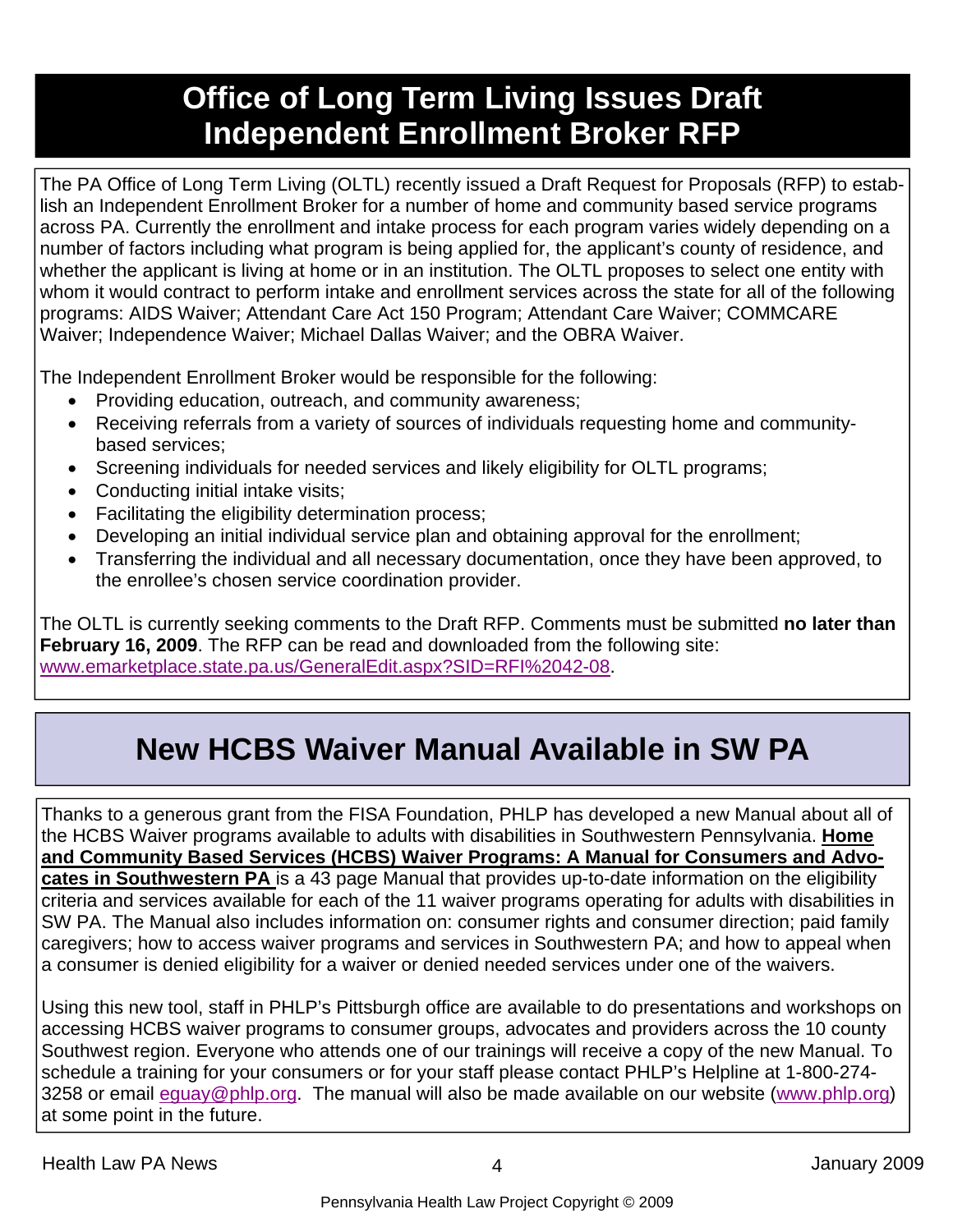### **Office of Long Term Living Issues Draft Independent Enrollment Broker RFP**

The PA Office of Long Term Living (OLTL) recently issued a Draft Request for Proposals (RFP) to establish an Independent Enrollment Broker for a number of home and community based service programs across PA. Currently the enrollment and intake process for each program varies widely depending on a number of factors including what program is being applied for, the applicant's county of residence, and whether the applicant is living at home or in an institution. The OLTL proposes to select one entity with whom it would contract to perform intake and enrollment services across the state for all of the following programs: AIDS Waiver; Attendant Care Act 150 Program; Attendant Care Waiver; COMMCARE Waiver; Independence Waiver; Michael Dallas Waiver; and the OBRA Waiver.

The Independent Enrollment Broker would be responsible for the following:

- Providing education, outreach, and community awareness;
- Receiving referrals from a variety of sources of individuals requesting home and communitybased services;
- Screening individuals for needed services and likely eligibility for OLTL programs;
- Conducting initial intake visits;
- Facilitating the eligibility determination process;
- Developing an initial individual service plan and obtaining approval for the enrollment;
- Transferring the individual and all necessary documentation, once they have been approved, to the enrollee's chosen service coordination provider.

The OLTL is currently seeking comments to the Draft RFP. Comments must be submitted **no later than February 16, 2009**. The RFP can be read and downloaded from the following site: www.emarketplace.state.pa.us/GeneralEdit.aspx?SID=RFI%2042-08.

### **New HCBS Waiver Manual Available in SW PA**

Thanks to a generous grant from the FISA Foundation, PHLP has developed a new Manual about all of the HCBS Waiver programs available to adults with disabilities in Southwestern Pennsylvania. **Home and Community Based Services (HCBS) Waiver Programs: A Manual for Consumers and Advocates in Southwestern PA** is a 43 page Manual that provides up-to-date information on the eligibility criteria and services available for each of the 11 waiver programs operating for adults with disabilities in SW PA. The Manual also includes information on: consumer rights and consumer direction; paid family caregivers; how to access waiver programs and services in Southwestern PA; and how to appeal when a consumer is denied eligibility for a waiver or denied needed services under one of the waivers.

Using this new tool, staff in PHLP's Pittsburgh office are available to do presentations and workshops on accessing HCBS waiver programs to consumer groups, advocates and providers across the 10 county Southwest region. Everyone who attends one of our trainings will receive a copy of the new Manual. To schedule a training for your consumers or for your staff please contact PHLP's Helpline at 1-800-274- 3258 or email eguay@phlp.org. The manual will also be made available on our website (www.phlp.org) at some point in the future.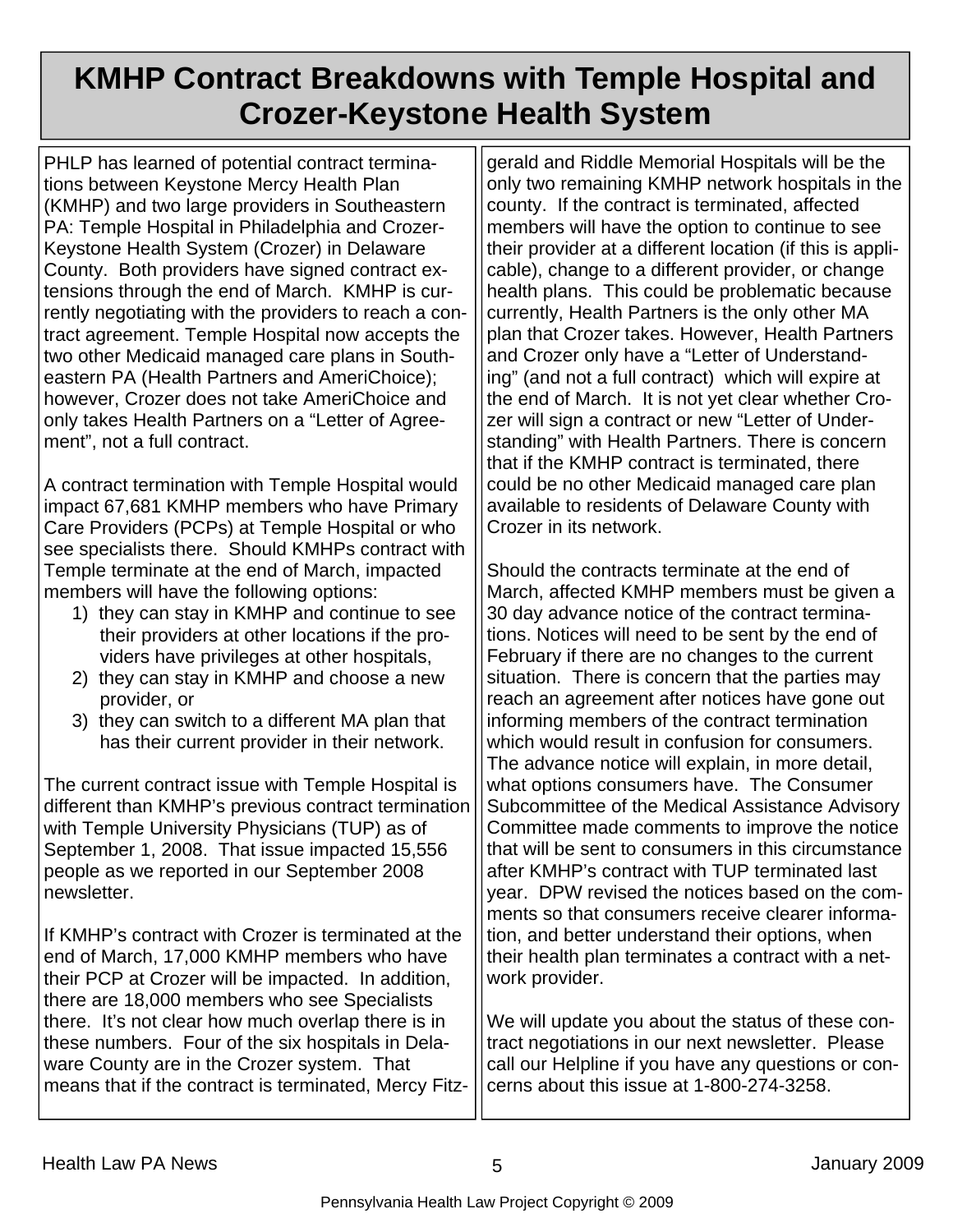### **KMHP Contract Breakdowns with Temple Hospital and Crozer-Keystone Health System**

PHLP has learned of potential contract terminations between Keystone Mercy Health Plan (KMHP) and two large providers in Southeastern PA: Temple Hospital in Philadelphia and Crozer-Keystone Health System (Crozer) in Delaware County. Both providers have signed contract extensions through the end of March. KMHP is currently negotiating with the providers to reach a contract agreement. Temple Hospital now accepts the two other Medicaid managed care plans in Southeastern PA (Health Partners and AmeriChoice); however, Crozer does not take AmeriChoice and only takes Health Partners on a "Letter of Agreement", not a full contract.

A contract termination with Temple Hospital would impact 67,681 KMHP members who have Primary Care Providers (PCPs) at Temple Hospital or who see specialists there. Should KMHPs contract with Temple terminate at the end of March, impacted members will have the following options:

- 1) they can stay in KMHP and continue to see their providers at other locations if the providers have privileges at other hospitals,
- 2) they can stay in KMHP and choose a new provider, or
- 3) they can switch to a different MA plan that has their current provider in their network.

The current contract issue with Temple Hospital is different than KMHP's previous contract termination with Temple University Physicians (TUP) as of September 1, 2008. That issue impacted 15,556 people as we reported in our September 2008 newsletter.

If KMHP's contract with Crozer is terminated at the end of March, 17,000 KMHP members who have their PCP at Crozer will be impacted. In addition, there are 18,000 members who see Specialists there. It's not clear how much overlap there is in these numbers. Four of the six hospitals in Delaware County are in the Crozer system. That means that if the contract is terminated, Mercy Fitzgerald and Riddle Memorial Hospitals will be the only two remaining KMHP network hospitals in the county. If the contract is terminated, affected members will have the option to continue to see their provider at a different location (if this is applicable), change to a different provider, or change health plans. This could be problematic because currently, Health Partners is the only other MA plan that Crozer takes. However, Health Partners and Crozer only have a "Letter of Understanding" (and not a full contract) which will expire at the end of March. It is not yet clear whether Crozer will sign a contract or new "Letter of Understanding" with Health Partners. There is concern that if the KMHP contract is terminated, there could be no other Medicaid managed care plan available to residents of Delaware County with Crozer in its network.

Should the contracts terminate at the end of March, affected KMHP members must be given a 30 day advance notice of the contract terminations. Notices will need to be sent by the end of February if there are no changes to the current situation. There is concern that the parties may reach an agreement after notices have gone out informing members of the contract termination which would result in confusion for consumers. The advance notice will explain, in more detail, what options consumers have. The Consumer Subcommittee of the Medical Assistance Advisory Committee made comments to improve the notice that will be sent to consumers in this circumstance after KMHP's contract with TUP terminated last year. DPW revised the notices based on the comments so that consumers receive clearer information, and better understand their options, when their health plan terminates a contract with a network provider.

We will update you about the status of these contract negotiations in our next newsletter. Please call our Helpline if you have any questions or concerns about this issue at 1-800-274-3258.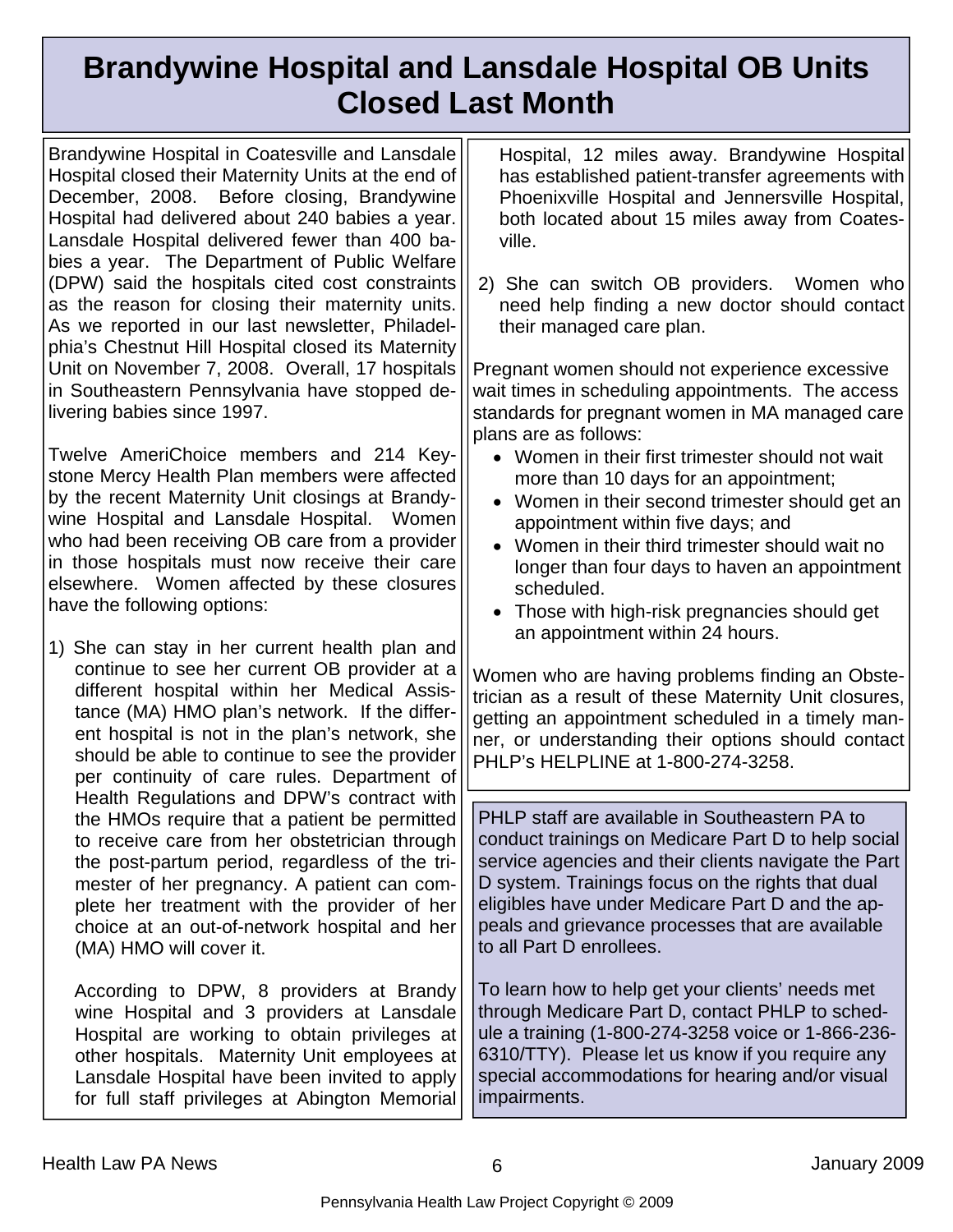### **Brandywine Hospital and Lansdale Hospital OB Units Closed Last Month**

Brandywine Hospital in Coatesville and Lansdale Hospital closed their Maternity Units at the end of December, 2008. Before closing, Brandywine Hospital had delivered about 240 babies a year. Lansdale Hospital delivered fewer than 400 babies a year. The Department of Public Welfare (DPW) said the hospitals cited cost constraints as the reason for closing their maternity units. As we reported in our last newsletter, Philadelphia's Chestnut Hill Hospital closed its Maternity Unit on November 7, 2008. Overall, 17 hospitals in Southeastern Pennsylvania have stopped delivering babies since 1997.

Twelve AmeriChoice members and 214 Keystone Mercy Health Plan members were affected by the recent Maternity Unit closings at Brandywine Hospital and Lansdale Hospital. Women who had been receiving OB care from a provider in those hospitals must now receive their care elsewhere. Women affected by these closures have the following options:

1) She can stay in her current health plan and continue to see her current OB provider at a different hospital within her Medical Assistance (MA) HMO plan's network. If the different hospital is not in the plan's network, she should be able to continue to see the provider per continuity of care rules. Department of Health Regulations and DPW's contract with the HMOs require that a patient be permitted to receive care from her obstetrician through the post-partum period, regardless of the trimester of her pregnancy. A patient can complete her treatment with the provider of her choice at an out-of-network hospital and her (MA) HMO will cover it.

 According to DPW, 8 providers at Brandy wine Hospital and 3 providers at Lansdale Hospital are working to obtain privileges at other hospitals. Maternity Unit employees at Lansdale Hospital have been invited to apply for full staff privileges at Abington Memorial

Hospital, 12 miles away. Brandywine Hospital has established patient-transfer agreements with Phoenixville Hospital and Jennersville Hospital, both located about 15 miles away from Coatesville.

2) She can switch OB providers. Women who need help finding a new doctor should contact their managed care plan.

Pregnant women should not experience excessive wait times in scheduling appointments. The access standards for pregnant women in MA managed care plans are as follows:

- Women in their first trimester should not wait more than 10 days for an appointment;
- Women in their second trimester should get an appointment within five days; and
- Women in their third trimester should wait no longer than four days to haven an appointment scheduled.
- Those with high-risk pregnancies should get an appointment within 24 hours.

Women who are having problems finding an Obstetrician as a result of these Maternity Unit closures, getting an appointment scheduled in a timely manner, or understanding their options should contact PHLP's HELPLINE at 1-800-274-3258.

PHLP staff are available in Southeastern PA to conduct trainings on Medicare Part D to help social service agencies and their clients navigate the Part D system. Trainings focus on the rights that dual eligibles have under Medicare Part D and the appeals and grievance processes that are available to all Part D enrollees.

To learn how to help get your clients' needs met through Medicare Part D, contact PHLP to schedule a training (1-800-274-3258 voice or 1-866-236- 6310/TTY). Please let us know if you require any special accommodations for hearing and/or visual impairments.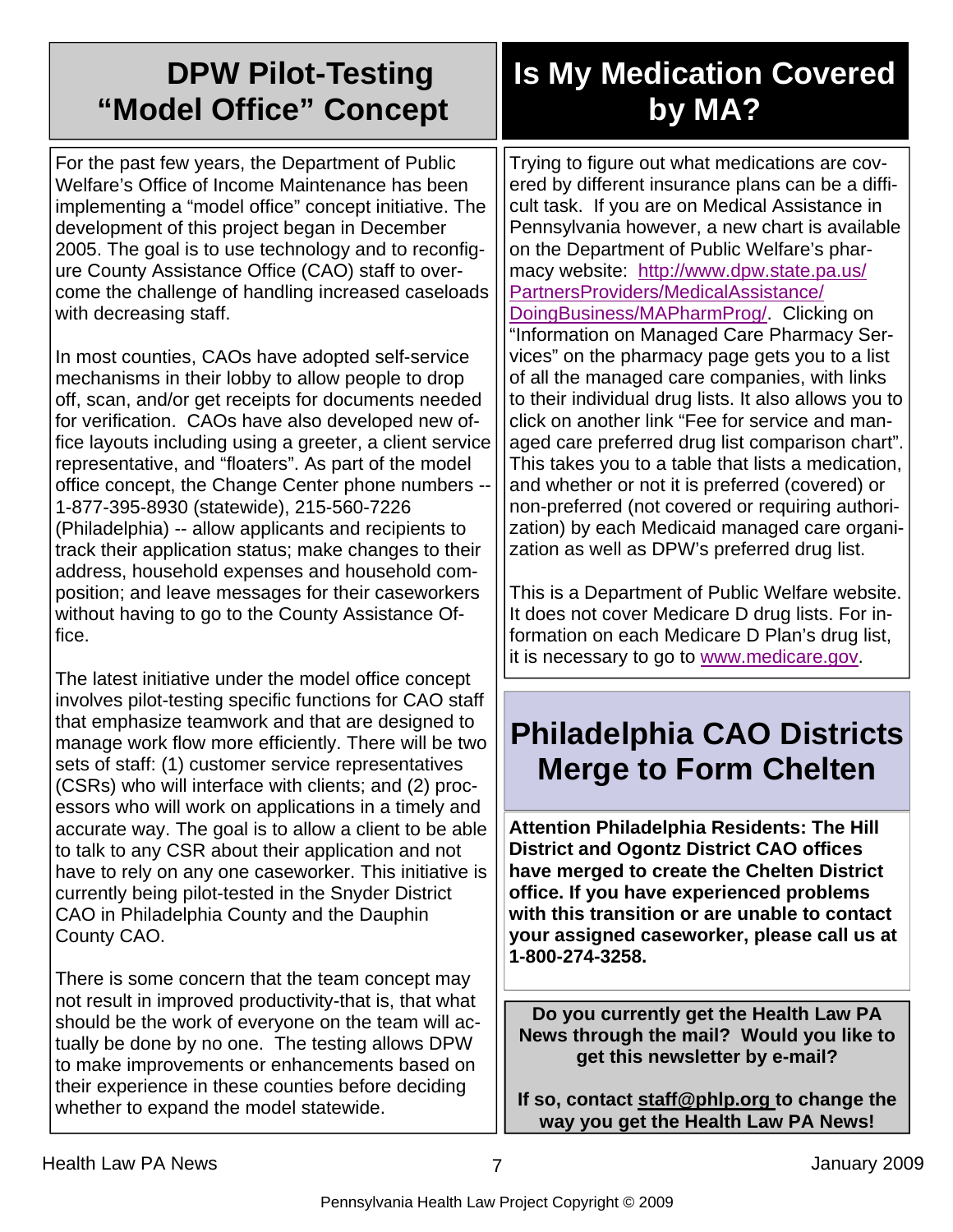| <b>DPW Pilot-Testing</b><br>"Model Office" Concept                                                                                                                                                                                                                                                                                                                                                                                                                                                                                                                         | <b>Is My Medication Covered</b><br>by MA?                                                                                                                                                                                                                                                                                                                                                                                                                                                                                                                                                        |
|----------------------------------------------------------------------------------------------------------------------------------------------------------------------------------------------------------------------------------------------------------------------------------------------------------------------------------------------------------------------------------------------------------------------------------------------------------------------------------------------------------------------------------------------------------------------------|--------------------------------------------------------------------------------------------------------------------------------------------------------------------------------------------------------------------------------------------------------------------------------------------------------------------------------------------------------------------------------------------------------------------------------------------------------------------------------------------------------------------------------------------------------------------------------------------------|
| For the past few years, the Department of Public<br>Welfare's Office of Income Maintenance has been<br>implementing a "model office" concept initiative. The<br>development of this project began in December<br>2005. The goal is to use technology and to reconfig-<br>ure County Assistance Office (CAO) staff to over-<br>come the challenge of handling increased caseloads<br>with decreasing staff.<br>In most counties, CAOs have adopted self-service<br>mechanisms in their lobby to allow people to drop<br>off, scan, and/or get receipts for documents needed | Trying to figure out what medications are cov-<br>ered by different insurance plans can be a diffi-<br>cult task. If you are on Medical Assistance in<br>Pennsylvania however, a new chart is available<br>on the Department of Public Welfare's phar-<br>macy website: http://www.dpw.state.pa.us/<br>PartnersProviders/MedicalAssistance/<br>DoingBusiness/MAPharmProg/. Clicking on<br>"Information on Managed Care Pharmacy Ser-<br>vices" on the pharmacy page gets you to a list<br>of all the managed care companies, with links<br>to their individual drug lists. It also allows you to |
| for verification. CAOs have also developed new of-<br>fice layouts including using a greeter, a client service<br>representative, and "floaters". As part of the model<br>office concept, the Change Center phone numbers --<br>1-877-395-8930 (statewide), 215-560-7226<br>(Philadelphia) -- allow applicants and recipients to<br>track their application status; make changes to their<br>address, household expenses and household com-<br>position; and leave messages for their caseworkers<br>without having to go to the County Assistance Of-                     | aged care preferred drug list comparison chart".<br>This takes you to a table that lists a medication,<br>and whether or not it is preferred (covered) or<br>non-preferred (not covered or requiring authori-<br>zation) by each Medicaid managed care organi-<br>zation as well as DPW's preferred drug list.<br>This is a Department of Public Welfare website.<br>It does not cover Medicare D drug lists. For in-                                                                                                                                                                            |
|                                                                                                                                                                                                                                                                                                                                                                                                                                                                                                                                                                            | it is necessary to go to www.medicare.gov.                                                                                                                                                                                                                                                                                                                                                                                                                                                                                                                                                       |
| involves pilot-testing specific functions for CAO staff<br>that emphasize teamwork and that are designed to<br>manage work flow more efficiently. There will be two                                                                                                                                                                                                                                                                                                                                                                                                        | <b>Philadelphia CAO Districts</b>                                                                                                                                                                                                                                                                                                                                                                                                                                                                                                                                                                |
| (CSRs) who will interface with clients; and (2) proc-                                                                                                                                                                                                                                                                                                                                                                                                                                                                                                                      |                                                                                                                                                                                                                                                                                                                                                                                                                                                                                                                                                                                                  |
| accurate way. The goal is to allow a client to be able<br>to talk to any CSR about their application and not<br>have to rely on any one caseworker. This initiative is<br>currently being pilot-tested in the Snyder District<br>CAO in Philadelphia County and the Dauphin<br>County CAO.                                                                                                                                                                                                                                                                                 | <b>Attention Philadelphia Residents: The Hill</b><br><b>District and Ogontz District CAO offices</b><br>have merged to create the Chelten District<br>office. If you have experienced problems<br>with this transition or are unable to contact<br>your assigned caseworker, please call us at<br>1-800-274-3258.                                                                                                                                                                                                                                                                                |
| not result in improved productivity-that is, that what<br>should be the work of everyone on the team will ac-                                                                                                                                                                                                                                                                                                                                                                                                                                                              | Do you currently get the Health Law PA                                                                                                                                                                                                                                                                                                                                                                                                                                                                                                                                                           |
| fice.<br>The latest initiative under the model office concept<br>sets of staff: (1) customer service representatives<br>essors who will work on applications in a timely and<br>There is some concern that the team concept may<br>tually be done by no one. The testing allows DPW                                                                                                                                                                                                                                                                                        | click on another link "Fee for service and man-<br>formation on each Medicare D Plan's drug list,<br><b>Merge to Form Chelten</b><br>News through the mail? Would you like to                                                                                                                                                                                                                                                                                                                                                                                                                    |

**get this newsletter by e-mail?** 

**If so, contact staff@phlp.org to change the way you get the Health Law PA News!** 

to make improvements or enhancements based on their experience in these counties before deciding

whether to expand the model statewide.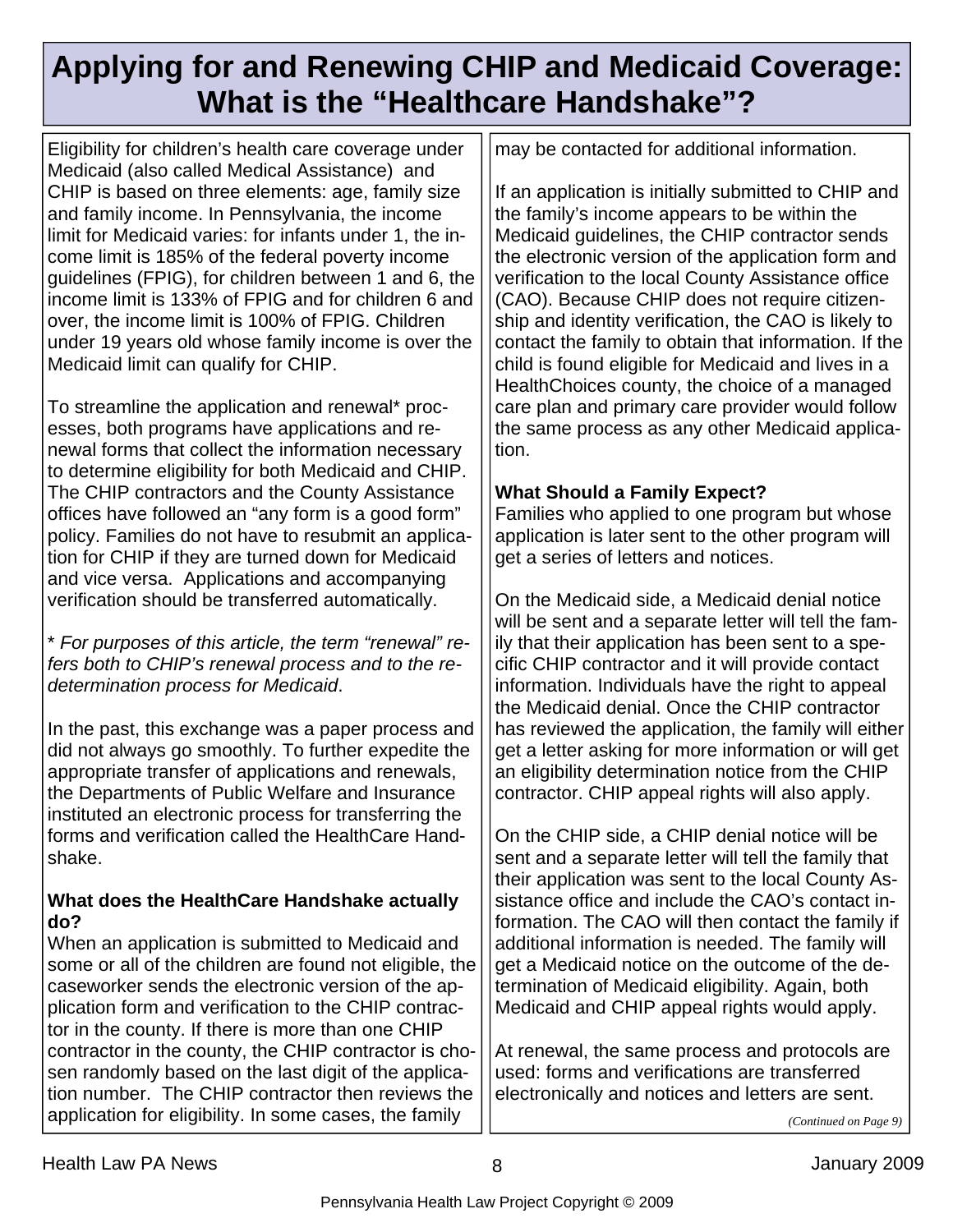### **Applying for and Renewing CHIP and Medicaid Coverage: What is the "Healthcare Handshake"?**

Eligibility for children's health care coverage under Medicaid (also called Medical Assistance) and CHIP is based on three elements: age, family size and family income. In Pennsylvania, the income limit for Medicaid varies: for infants under 1, the income limit is 185% of the federal poverty income guidelines (FPIG), for children between 1 and 6, the income limit is 133% of FPIG and for children 6 and over, the income limit is 100% of FPIG. Children under 19 years old whose family income is over the Medicaid limit can qualify for CHIP.

To streamline the application and renewal\* processes, both programs have applications and renewal forms that collect the information necessary to determine eligibility for both Medicaid and CHIP. The CHIP contractors and the County Assistance offices have followed an "any form is a good form" policy. Families do not have to resubmit an application for CHIP if they are turned down for Medicaid and vice versa. Applications and accompanying verification should be transferred automatically.

\* *For purposes of this article, the term "renewal" refers both to CHIP's renewal process and to the redetermination process for Medicaid*.

In the past, this exchange was a paper process and did not always go smoothly. To further expedite the appropriate transfer of applications and renewals, the Departments of Public Welfare and Insurance instituted an electronic process for transferring the forms and verification called the HealthCare Handshake.

#### **What does the HealthCare Handshake actually do?**

When an application is submitted to Medicaid and some or all of the children are found not eligible, the caseworker sends the electronic version of the application form and verification to the CHIP contractor in the county. If there is more than one CHIP contractor in the county, the CHIP contractor is chosen randomly based on the last digit of the application number. The CHIP contractor then reviews the application for eligibility. In some cases, the family

may be contacted for additional information.

If an application is initially submitted to CHIP and the family's income appears to be within the Medicaid guidelines, the CHIP contractor sends the electronic version of the application form and verification to the local County Assistance office (CAO). Because CHIP does not require citizenship and identity verification, the CAO is likely to contact the family to obtain that information. If the child is found eligible for Medicaid and lives in a HealthChoices county, the choice of a managed care plan and primary care provider would follow the same process as any other Medicaid application.

#### **What Should a Family Expect?**

Families who applied to one program but whose application is later sent to the other program will get a series of letters and notices.

On the Medicaid side, a Medicaid denial notice will be sent and a separate letter will tell the family that their application has been sent to a specific CHIP contractor and it will provide contact information. Individuals have the right to appeal the Medicaid denial. Once the CHIP contractor has reviewed the application, the family will either get a letter asking for more information or will get an eligibility determination notice from the CHIP contractor. CHIP appeal rights will also apply.

On the CHIP side, a CHIP denial notice will be sent and a separate letter will tell the family that their application was sent to the local County Assistance office and include the CAO's contact information. The CAO will then contact the family if additional information is needed. The family will get a Medicaid notice on the outcome of the determination of Medicaid eligibility. Again, both Medicaid and CHIP appeal rights would apply.

At renewal, the same process and protocols are used: forms and verifications are transferred electronically and notices and letters are sent.

*(Continued on Page 9)*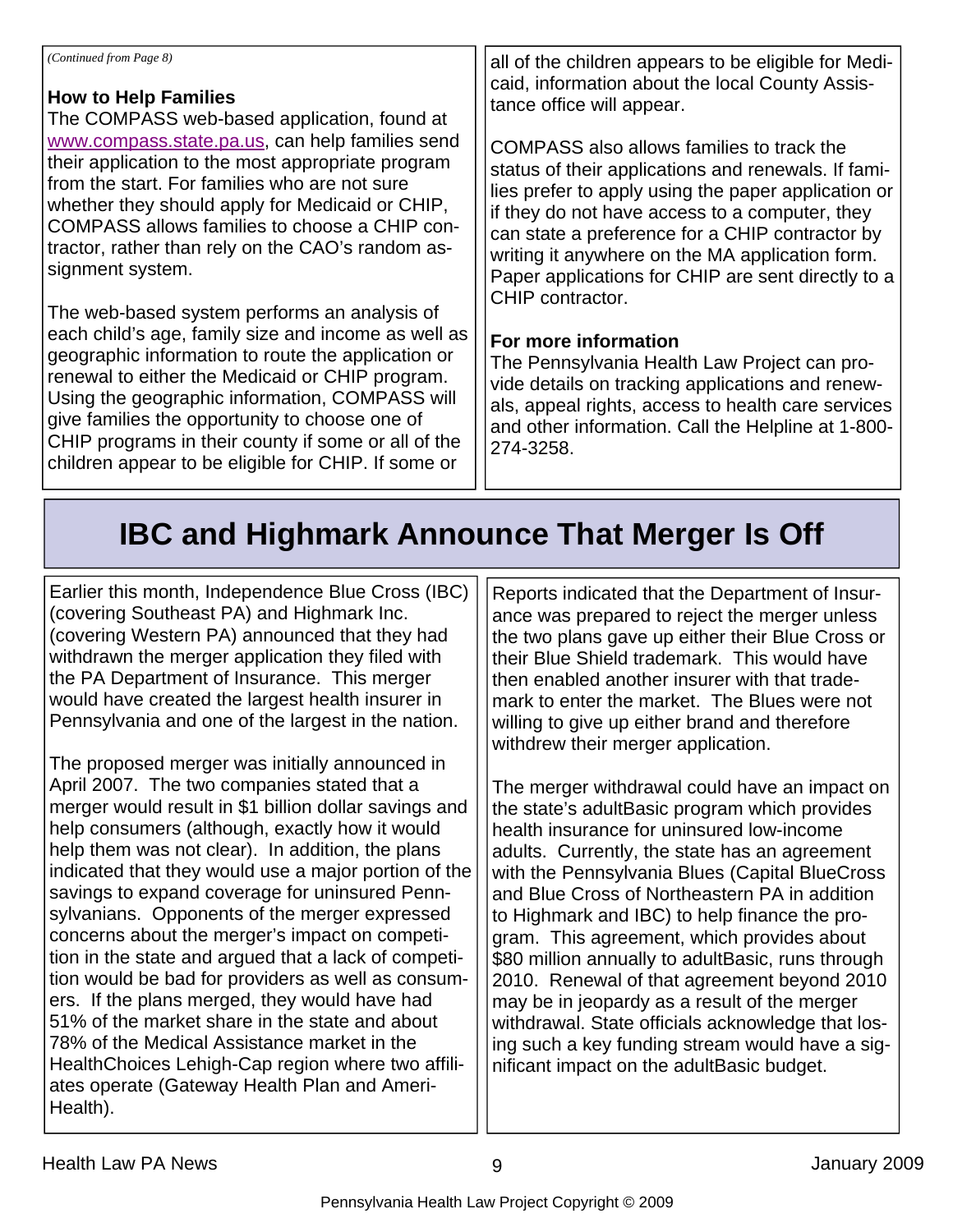#### **How to Help Families**

The COMPASS web-based application, found at www.compass.state.pa.us, can help families send their application to the most appropriate program from the start. For families who are not sure whether they should apply for Medicaid or CHIP, COMPASS allows families to choose a CHIP contractor, rather than rely on the CAO's random assignment system.

The web-based system performs an analysis of each child's age, family size and income as well as geographic information to route the application or renewal to either the Medicaid or CHIP program. Using the geographic information, COMPASS will give families the opportunity to choose one of CHIP programs in their county if some or all of the children appear to be eligible for CHIP. If some or

all of the children appears to be eligible for Medicaid, information about the local County Assistance office will appear.

COMPASS also allows families to track the status of their applications and renewals. If families prefer to apply using the paper application or if they do not have access to a computer, they can state a preference for a CHIP contractor by writing it anywhere on the MA application form. Paper applications for CHIP are sent directly to a CHIP contractor.

#### **For more information**

The Pennsylvania Health Law Project can provide details on tracking applications and renewals, appeal rights, access to health care services and other information. Call the Helpline at 1-800- 274-3258.

### **IBC and Highmark Announce That Merger Is Off**

Earlier this month, Independence Blue Cross (IBC) (covering Southeast PA) and Highmark Inc. (covering Western PA) announced that they had withdrawn the merger application they filed with the PA Department of Insurance. This merger would have created the largest health insurer in Pennsylvania and one of the largest in the nation.

The proposed merger was initially announced in April 2007. The two companies stated that a merger would result in \$1 billion dollar savings and help consumers (although, exactly how it would help them was not clear). In addition, the plans indicated that they would use a major portion of the savings to expand coverage for uninsured Pennsylvanians. Opponents of the merger expressed concerns about the merger's impact on competition in the state and argued that a lack of competition would be bad for providers as well as consumers. If the plans merged, they would have had 51% of the market share in the state and about 78% of the Medical Assistance market in the HealthChoices Lehigh-Cap region where two affiliates operate (Gateway Health Plan and Ameri-Health).

Reports indicated that the Department of Insurance was prepared to reject the merger unless the two plans gave up either their Blue Cross or their Blue Shield trademark. This would have then enabled another insurer with that trademark to enter the market. The Blues were not willing to give up either brand and therefore withdrew their merger application.

The merger withdrawal could have an impact on the state's adultBasic program which provides health insurance for uninsured low-income adults. Currently, the state has an agreement with the Pennsylvania Blues (Capital BlueCross and Blue Cross of Northeastern PA in addition to Highmark and IBC) to help finance the program. This agreement, which provides about \$80 million annually to adultBasic, runs through 2010. Renewal of that agreement beyond 2010 may be in jeopardy as a result of the merger withdrawal. State officials acknowledge that losing such a key funding stream would have a significant impact on the adultBasic budget.